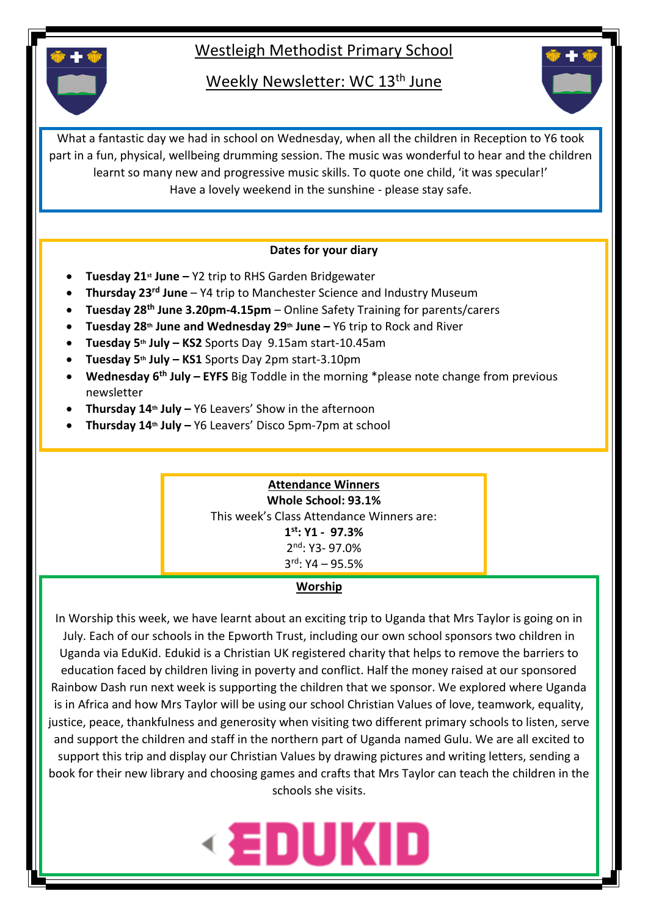## Westleigh Methodist Primary School

Weekly Newsletter: WC 13<sup>th</sup> June



What a fantastic day we had in school on Wednesday, when all the children in Reception to Y6 took part in a fun, physical, wellbeing drumming session. The music was wonderful to hear and the children learnt so many new and progressive music skills. To quote one child, 'it was specular!' Have a lovely weekend in the sunshine - please stay safe.

#### **Dates for your diary**

- **Tuesday 21st June –** Y2 trip to RHS Garden Bridgewater
- **Thursday 23rd June**  Y4 trip to Manchester Science and Industry Museum
- **Tuesday 28th June 3.20pm-4.15pm**  Online Safety Training for parents/carers
- **Tuesday 28th June and Wednesday 29th June –** Y6 trip to Rock and River
- **Tuesday 5th July – KS2** Sports Day 9.15am start-10.45am
- **Tuesday 5th July – KS1** Sports Day 2pm start-3.10pm
- **Wednesday 6th July – EYFS** Big Toddle in the morning \*please note change from previous newsletter
- **Thursday 14th July –** Y6 Leavers' Show in the afternoon
- **Thursday 14th July –** Y6 Leavers' Disco 5pm-7pm at school

### **Attendance Winners**

**Whole School: 93.1%** This week's Class Attendance Winners are: **1 st: Y1 - 97.3%** 2 nd: Y3- 97.0%  $3<sup>rd</sup>$ : Y4 – 95.5%

### **Worship**

In Worship this week, we have learnt about an exciting trip to Uganda that Mrs Taylor is going on in July. Each of our schools in the Epworth Trust, including our own school sponsors two children in Uganda via EduKid. Edukid is a Christian UK registered charity that helps to remove the barriers to education faced by children living in poverty and conflict. Half the money raised at our sponsored Rainbow Dash run next week is supporting the children that we sponsor. We explored where Uganda is in Africa and how Mrs Taylor will be using our school Christian Values of love, teamwork, equality, justice, peace, thankfulness and generosity when visiting two different primary schools to listen, serve and support the children and staff in the northern part of Uganda named Gulu. We are all excited to support this trip and display our Christian Values by drawing pictures and writing letters, sending a book for their new library and choosing games and crafts that Mrs Taylor can teach the children in the schools she visits.

# **EDUKID**